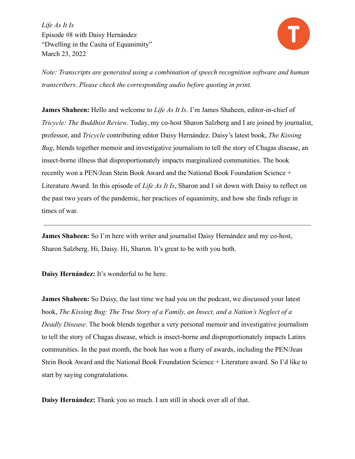

*Note: Transcripts are generated using a combination of speech recognition software and human transcribers. Please check the corresponding audio before quoting in print.*

**James Shaheen:** Hello and welcome to *Life As It Is*. I'm James Shaheen, editor-in-chief of *Tricycle: The Buddhist Review*. Today, my co-host Sharon Salzberg and I are joined by journalist, professor, and *Tricycle* contributing editor Daisy Hernández. Daisy's latest book, *The Kissing Bug*, blends together memoir and investigative journalism to tell the story of Chagas disease, an insect-borne illness that disproportionately impacts marginalized communities. The book recently won a PEN/Jean Stein Book Award and the National Book Foundation Science + Literature Award. In this episode of *Life As It Is*, Sharon and I sit down with Daisy to reflect on the past two years of the pandemic, her practices of equanimity, and how she finds refuge in times of war.

**James Shaheen:** So I'm here with writer and journalist Daisy Hernández and my co-host, Sharon Salzberg. Hi, Daisy. Hi, Sharon. It's great to be with you both.

**Daisy Hernández:** It's wonderful to be here.

**James Shaheen:** So Daisy, the last time we had you on the podcast, we discussed your latest book, *The Kissing Bug: The True Story of a Family, an Insect, and a Nation's Neglect of a Deadly Disease*. The book blends together a very personal memoir and investigative journalism to tell the story of Chagas disease, which is insect-borne and disproportionately impacts Latinx communities. In the past month, the book has won a flurry of awards, including the PEN/Jean Stein Book Award and the National Book Foundation Science + Literature award. So I'd like to start by saying congratulations.

**Daisy Hernández:** Thank you so much. I am still in shock over all of that.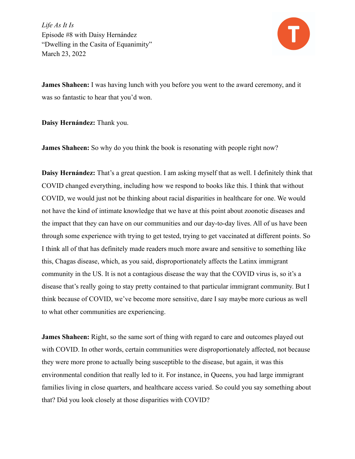

**James Shaheen:** I was having lunch with you before you went to the award ceremony, and it was so fantastic to hear that you'd won.

**Daisy Hernández:** Thank you.

**James Shaheen:** So why do you think the book is resonating with people right now?

**Daisy Hernández:** That's a great question. I am asking myself that as well. I definitely think that COVID changed everything, including how we respond to books like this. I think that without COVID, we would just not be thinking about racial disparities in healthcare for one. We would not have the kind of intimate knowledge that we have at this point about zoonotic diseases and the impact that they can have on our communities and our day-to-day lives. All of us have been through some experience with trying to get tested, trying to get vaccinated at different points. So I think all of that has definitely made readers much more aware and sensitive to something like this, Chagas disease, which, as you said, disproportionately affects the Latinx immigrant community in the US. It is not a contagious disease the way that the COVID virus is, so it's a disease that's really going to stay pretty contained to that particular immigrant community. But I think because of COVID, we've become more sensitive, dare I say maybe more curious as well to what other communities are experiencing.

**James Shaheen:** Right, so the same sort of thing with regard to care and outcomes played out with COVID. In other words, certain communities were disproportionately affected, not because they were more prone to actually being susceptible to the disease, but again, it was this environmental condition that really led to it. For instance, in Queens, you had large immigrant families living in close quarters, and healthcare access varied. So could you say something about that? Did you look closely at those disparities with COVID?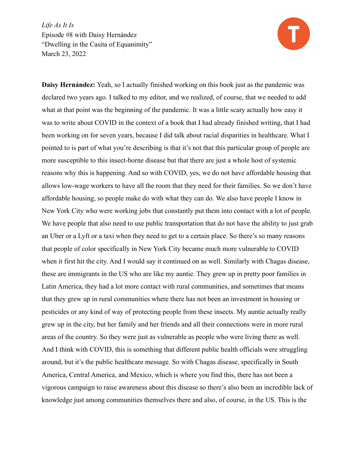

**Daisy Hernández:** Yeah, so I actually finished working on this book just as the pandemic was declared two years ago. I talked to my editor, and we realized, of course, that we needed to add what at that point was the beginning of the pandemic. It was a little scary actually how easy it was to write about COVID in the context of a book that I had already finished writing, that I had been working on for seven years, because I did talk about racial disparities in healthcare. What I pointed to is part of what you're describing is that it's not that this particular group of people are more susceptible to this insect-borne disease but that there are just a whole host of systemic reasons why this is happening. And so with COVID, yes, we do not have affordable housing that allows low-wage workers to have all the room that they need for their families. So we don't have affordable housing, so people make do with what they can do. We also have people I know in New York City who were working jobs that constantly put them into contact with a lot of people. We have people that also need to use public transportation that do not have the ability to just grab an Uber or a Lyft or a taxi when they need to get to a certain place. So there's so many reasons that people of color specifically in New York City became much more vulnerable to COVID when it first hit the city. And I would say it continued on as well. Similarly with Chagas disease, these are immigrants in the US who are like my auntie. They grew up in pretty poor families in Latin America, they had a lot more contact with rural communities, and sometimes that means that they grew up in rural communities where there has not been an investment in housing or pesticides or any kind of way of protecting people from these insects. My auntie actually really grew up in the city, but her family and her friends and all their connections were in more rural areas of the country. So they were just as vulnerable as people who were living there as well. And I think with COVID, this is something that different public health officials were struggling around, but it's the public healthcare message. So with Chagas disease, specifically in South America, Central America, and Mexico, which is where you find this, there has not been a vigorous campaign to raise awareness about this disease so there's also been an incredible lack of knowledge just among communities themselves there and also, of course, in the US. This is the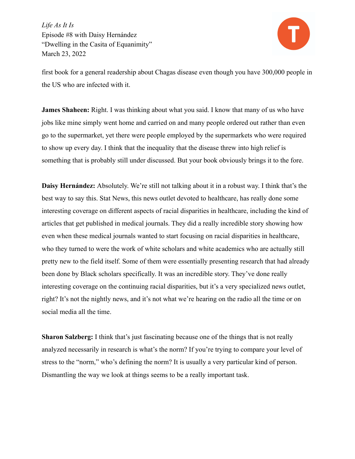

first book for a general readership about Chagas disease even though you have 300,000 people in the US who are infected with it.

**James Shaheen:** Right. I was thinking about what you said. I know that many of us who have jobs like mine simply went home and carried on and many people ordered out rather than even go to the supermarket, yet there were people employed by the supermarkets who were required to show up every day. I think that the inequality that the disease threw into high relief is something that is probably still under discussed. But your book obviously brings it to the fore.

**Daisy Hernández:** Absolutely. We're still not talking about it in a robust way. I think that's the best way to say this. Stat News, this news outlet devoted to healthcare, has really done some interesting coverage on different aspects of racial disparities in healthcare, including the kind of articles that get published in medical journals. They did a really incredible story showing how even when these medical journals wanted to start focusing on racial disparities in healthcare, who they turned to were the work of white scholars and white academics who are actually still pretty new to the field itself. Some of them were essentially presenting research that had already been done by Black scholars specifically. It was an incredible story. They've done really interesting coverage on the continuing racial disparities, but it's a very specialized news outlet, right? It's not the nightly news, and it's not what we're hearing on the radio all the time or on social media all the time.

**Sharon Salzberg:** I think that's just fascinating because one of the things that is not really analyzed necessarily in research is what's the norm? If you're trying to compare your level of stress to the "norm," who's defining the norm? It is usually a very particular kind of person. Dismantling the way we look at things seems to be a really important task.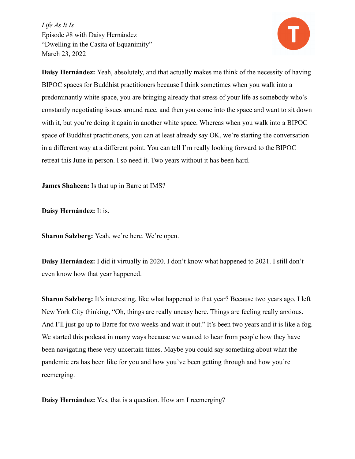

**Daisy Hernández:** Yeah, absolutely, and that actually makes me think of the necessity of having BIPOC spaces for Buddhist practitioners because I think sometimes when you walk into a predominantly white space, you are bringing already that stress of your life as somebody who's constantly negotiating issues around race, and then you come into the space and want to sit down with it, but you're doing it again in another white space. Whereas when you walk into a BIPOC space of Buddhist practitioners, you can at least already say OK, we're starting the conversation in a different way at a different point. You can tell I'm really looking forward to the BIPOC retreat this June in person. I so need it. Two years without it has been hard.

**James Shaheen:** Is that up in Barre at IMS?

**Daisy Hernández:** It is.

**Sharon Salzberg:** Yeah, we're here. We're open.

**Daisy Hernández:** I did it virtually in 2020. I don't know what happened to 2021. I still don't even know how that year happened.

**Sharon Salzberg:** It's interesting, like what happened to that year? Because two years ago, I left New York City thinking, "Oh, things are really uneasy here. Things are feeling really anxious. And I'll just go up to Barre for two weeks and wait it out." It's been two years and it is like a fog. We started this podcast in many ways because we wanted to hear from people how they have been navigating these very uncertain times. Maybe you could say something about what the pandemic era has been like for you and how you've been getting through and how you're reemerging.

**Daisy Hernández:** Yes, that is a question. How am I reemerging?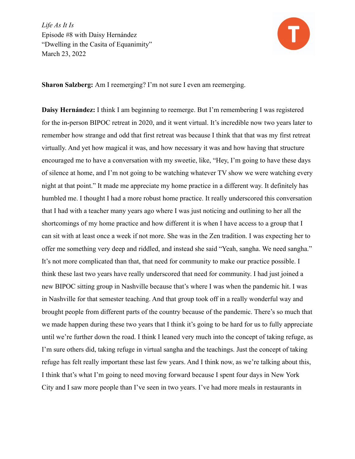

**Sharon Salzberg:** Am I reemerging? I'm not sure I even am reemerging.

**Daisy Hernández:** I think I am beginning to reemerge. But I'm remembering I was registered for the in-person BIPOC retreat in 2020, and it went virtual. It's incredible now two years later to remember how strange and odd that first retreat was because I think that that was my first retreat virtually. And yet how magical it was, and how necessary it was and how having that structure encouraged me to have a conversation with my sweetie, like, "Hey, I'm going to have these days of silence at home, and I'm not going to be watching whatever TV show we were watching every night at that point." It made me appreciate my home practice in a different way. It definitely has humbled me. I thought I had a more robust home practice. It really underscored this conversation that I had with a teacher many years ago where I was just noticing and outlining to her all the shortcomings of my home practice and how different it is when I have access to a group that I can sit with at least once a week if not more. She was in the Zen tradition. I was expecting her to offer me something very deep and riddled, and instead she said "Yeah, sangha. We need sangha." It's not more complicated than that, that need for community to make our practice possible. I think these last two years have really underscored that need for community. I had just joined a new BIPOC sitting group in Nashville because that's where I was when the pandemic hit. I was in Nashville for that semester teaching. And that group took off in a really wonderful way and brought people from different parts of the country because of the pandemic. There's so much that we made happen during these two years that I think it's going to be hard for us to fully appreciate until we're further down the road. I think I leaned very much into the concept of taking refuge, as I'm sure others did, taking refuge in virtual sangha and the teachings. Just the concept of taking refuge has felt really important these last few years. And I think now, as we're talking about this, I think that's what I'm going to need moving forward because I spent four days in New York City and I saw more people than I've seen in two years. I've had more meals in restaurants in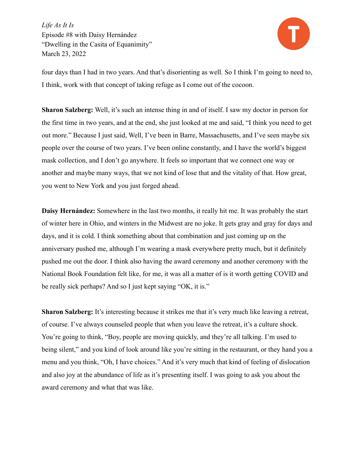

four days than I had in two years. And that's disorienting as well. So I think I'm going to need to, I think, work with that concept of taking refuge as I come out of the cocoon.

**Sharon Salzberg:** Well, it's such an intense thing in and of itself. I saw my doctor in person for the first time in two years, and at the end, she just looked at me and said, "I think you need to get out more." Because I just said, Well, I've been in Barre, Massachusetts, and I've seen maybe six people over the course of two years. I've been online constantly, and I have the world's biggest mask collection, and I don't go anywhere. It feels so important that we connect one way or another and maybe many ways, that we not kind of lose that and the vitality of that. How great, you went to New York and you just forged ahead.

**Daisy Hernández:** Somewhere in the last two months, it really hit me. It was probably the start of winter here in Ohio, and winters in the Midwest are no joke. It gets gray and gray for days and days, and it is cold. I think something about that combination and just coming up on the anniversary pushed me, although I'm wearing a mask everywhere pretty much, but it definitely pushed me out the door. I think also having the award ceremony and another ceremony with the National Book Foundation felt like, for me, it was all a matter of is it worth getting COVID and be really sick perhaps? And so I just kept saying "OK, it is."

**Sharon Salzberg:** It's interesting because it strikes me that it's very much like leaving a retreat, of course. I've always counseled people that when you leave the retreat, it's a culture shock. You're going to think, "Boy, people are moving quickly, and they're all talking. I'm used to being silent," and you kind of look around like you're sitting in the restaurant, or they hand you a menu and you think, "Oh, I have choices." And it's very much that kind of feeling of dislocation and also joy at the abundance of life as it's presenting itself. I was going to ask you about the award ceremony and what that was like.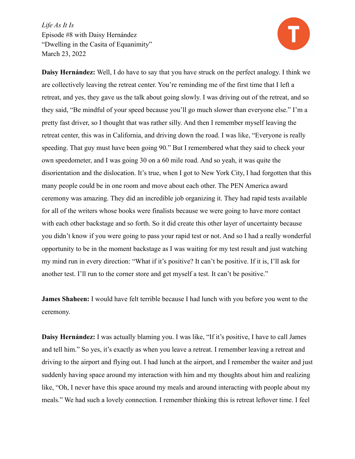

**Daisy Hernández:** Well, I do have to say that you have struck on the perfect analogy. I think we are collectively leaving the retreat center. You're reminding me of the first time that I left a retreat, and yes, they gave us the talk about going slowly. I was driving out of the retreat, and so they said, "Be mindful of your speed because you'll go much slower than everyone else." I'm a pretty fast driver, so I thought that was rather silly. And then I remember myself leaving the retreat center, this was in California, and driving down the road. I was like, "Everyone is really speeding. That guy must have been going 90." But I remembered what they said to check your own speedometer, and I was going 30 on a 60 mile road. And so yeah, it was quite the disorientation and the dislocation. It's true, when I got to New York City, I had forgotten that this many people could be in one room and move about each other. The PEN America award ceremony was amazing. They did an incredible job organizing it. They had rapid tests available for all of the writers whose books were finalists because we were going to have more contact with each other backstage and so forth. So it did create this other layer of uncertainty because you didn't know if you were going to pass your rapid test or not. And so I had a really wonderful opportunity to be in the moment backstage as I was waiting for my test result and just watching my mind run in every direction: "What if it's positive? It can't be positive. If it is, I'll ask for another test. I'll run to the corner store and get myself a test. It can't be positive."

**James Shaheen:** I would have felt terrible because I had lunch with you before you went to the ceremony.

**Daisy Hernández:** I was actually blaming you. I was like, "If it's positive, I have to call James and tell him." So yes, it's exactly as when you leave a retreat. I remember leaving a retreat and driving to the airport and flying out. I had lunch at the airport, and I remember the waiter and just suddenly having space around my interaction with him and my thoughts about him and realizing like, "Oh, I never have this space around my meals and around interacting with people about my meals." We had such a lovely connection. I remember thinking this is retreat leftover time. I feel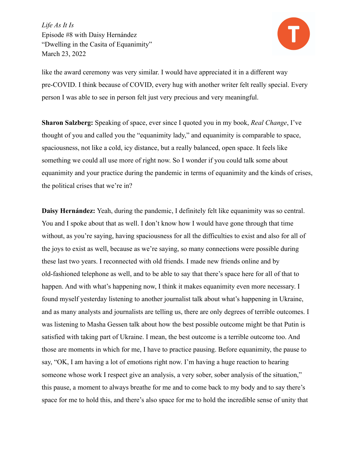

like the award ceremony was very similar. I would have appreciated it in a different way pre-COVID. I think because of COVID, every hug with another writer felt really special. Every person I was able to see in person felt just very precious and very meaningful.

**Sharon Salzberg:** Speaking of space, ever since I quoted you in my book, *Real Change*, I've thought of you and called you the "equanimity lady," and equanimity is comparable to space, spaciousness, not like a cold, icy distance, but a really balanced, open space. It feels like something we could all use more of right now. So I wonder if you could talk some about equanimity and your practice during the pandemic in terms of equanimity and the kinds of crises, the political crises that we're in?

**Daisy Hernández:** Yeah, during the pandemic, I definitely felt like equanimity was so central. You and I spoke about that as well. I don't know how I would have gone through that time without, as you're saying, having spaciousness for all the difficulties to exist and also for all of the joys to exist as well, because as we're saying, so many connections were possible during these last two years. I reconnected with old friends. I made new friends online and by old-fashioned telephone as well, and to be able to say that there's space here for all of that to happen. And with what's happening now. I think it makes equanimity even more necessary. I found myself yesterday listening to another journalist talk about what's happening in Ukraine, and as many analysts and journalists are telling us, there are only degrees of terrible outcomes. I was listening to Masha Gessen talk about how the best possible outcome might be that Putin is satisfied with taking part of Ukraine. I mean, the best outcome is a terrible outcome too. And those are moments in which for me, I have to practice pausing. Before equanimity, the pause to say, "OK, I am having a lot of emotions right now. I'm having a huge reaction to hearing someone whose work I respect give an analysis, a very sober, sober analysis of the situation," this pause, a moment to always breathe for me and to come back to my body and to say there's space for me to hold this, and there's also space for me to hold the incredible sense of unity that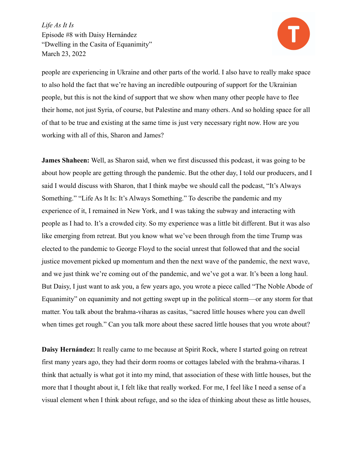

people are experiencing in Ukraine and other parts of the world. I also have to really make space to also hold the fact that we're having an incredible outpouring of support for the Ukrainian people, but this is not the kind of support that we show when many other people have to flee their home, not just Syria, of course, but Palestine and many others. And so holding space for all of that to be true and existing at the same time is just very necessary right now. How are you working with all of this, Sharon and James?

**James Shaheen:** Well, as Sharon said, when we first discussed this podcast, it was going to be about how people are getting through the pandemic. But the other day, I told our producers, and I said I would discuss with Sharon, that I think maybe we should call the podcast, "It's Always Something." "Life As It Is: It's Always Something." To describe the pandemic and my experience of it, I remained in New York, and I was taking the subway and interacting with people as I had to. It's a crowded city. So my experience was a little bit different. But it was also like emerging from retreat. But you know what we've been through from the time Trump was elected to the pandemic to George Floyd to the social unrest that followed that and the social justice movement picked up momentum and then the next wave of the pandemic, the next wave, and we just think we're coming out of the pandemic, and we've got a war. It's been a long haul. But Daisy, I just want to ask you, a few years ago, you wrote a piece called "The Noble Abode of Equanimity" on equanimity and not getting swept up in the political storm—or any storm for that matter. You talk about the brahma-viharas as casitas, "sacred little houses where you can dwell when times get rough." Can you talk more about these sacred little houses that you wrote about?

**Daisy Hernández:** It really came to me because at Spirit Rock, where I started going on retreat first many years ago, they had their dorm rooms or cottages labeled with the brahma-viharas. I think that actually is what got it into my mind, that association of these with little houses, but the more that I thought about it, I felt like that really worked. For me, I feel like I need a sense of a visual element when I think about refuge, and so the idea of thinking about these as little houses,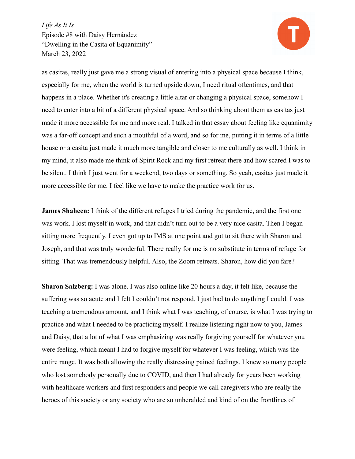

as casitas, really just gave me a strong visual of entering into a physical space because I think, especially for me, when the world is turned upside down, I need ritual oftentimes, and that happens in a place. Whether it's creating a little altar or changing a physical space, somehow I need to enter into a bit of a different physical space. And so thinking about them as casitas just made it more accessible for me and more real. I talked in that essay about feeling like equanimity was a far-off concept and such a mouthful of a word, and so for me, putting it in terms of a little house or a casita just made it much more tangible and closer to me culturally as well. I think in my mind, it also made me think of Spirit Rock and my first retreat there and how scared I was to be silent. I think I just went for a weekend, two days or something. So yeah, casitas just made it more accessible for me. I feel like we have to make the practice work for us.

**James Shaheen:** I think of the different refuges I tried during the pandemic, and the first one was work. I lost myself in work, and that didn't turn out to be a very nice casita. Then I began sitting more frequently. I even got up to IMS at one point and got to sit there with Sharon and Joseph, and that was truly wonderful. There really for me is no substitute in terms of refuge for sitting. That was tremendously helpful. Also, the Zoom retreats. Sharon, how did you fare?

**Sharon Salzberg:** I was alone. I was also online like 20 hours a day, it felt like, because the suffering was so acute and I felt I couldn't not respond. I just had to do anything I could. I was teaching a tremendous amount, and I think what I was teaching, of course, is what I was trying to practice and what I needed to be practicing myself. I realize listening right now to you, James and Daisy, that a lot of what I was emphasizing was really forgiving yourself for whatever you were feeling, which meant I had to forgive myself for whatever I was feeling, which was the entire range. It was both allowing the really distressing pained feelings. I knew so many people who lost somebody personally due to COVID, and then I had already for years been working with healthcare workers and first responders and people we call caregivers who are really the heroes of this society or any society who are so unheralded and kind of on the frontlines of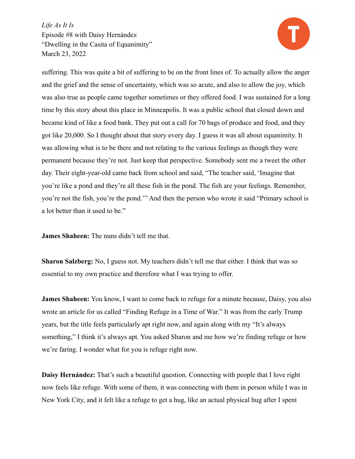

suffering. This was quite a bit of suffering to be on the front lines of. To actually allow the anger and the grief and the sense of uncertainty, which was so acute, and also to allow the joy, which was also true as people came together sometimes or they offered food. I was sustained for a long time by this story about this place in Minneapolis. It was a public school that closed down and became kind of like a food bank. They put out a call for 70 bags of produce and food, and they got like 20,000. So I thought about that story every day. I guess it was all about equanimity. It was allowing what is to be there and not relating to the various feelings as though they were permanent because they're not. Just keep that perspective. Somebody sent me a tweet the other day. Their eight-year-old came back from school and said, "The teacher said, 'Imagine that you're like a pond and they're all these fish in the pond. The fish are your feelings. Remember, you're not the fish, you're the pond.'" And then the person who wrote it said "Primary school is a lot better than it used to be."

**James Shaheen:** The nuns didn't tell me that.

**Sharon Salzberg:** No, I guess not. My teachers didn't tell me that either. I think that was so essential to my own practice and therefore what I was trying to offer.

**James Shaheen:** You know, I want to come back to refuge for a minute because, Daisy, you also wrote an article for us called "Finding Refuge in a Time of War." It was from the early Trump years, but the title feels particularly apt right now, and again along with my "It's always something," I think it's always apt. You asked Sharon and me how we're finding refuge or how we're faring. I wonder what for you is refuge right now.

**Daisy Hernández:** That's such a beautiful question. Connecting with people that I love right now feels like refuge. With some of them, it was connecting with them in person while I was in New York City, and it felt like a refuge to get a hug, like an actual physical hug after I spent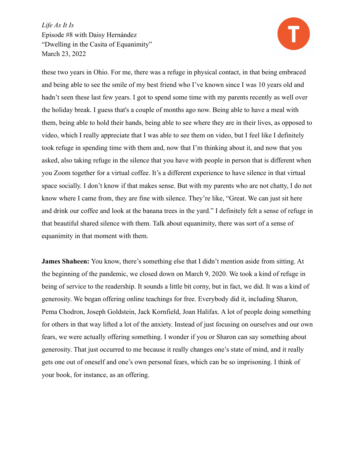

these two years in Ohio. For me, there was a refuge in physical contact, in that being embraced and being able to see the smile of my best friend who I've known since I was 10 years old and hadn't seen these last few years. I got to spend some time with my parents recently as well over the holiday break. I guess that's a couple of months ago now. Being able to have a meal with them, being able to hold their hands, being able to see where they are in their lives, as opposed to video, which I really appreciate that I was able to see them on video, but I feel like I definitely took refuge in spending time with them and, now that I'm thinking about it, and now that you asked, also taking refuge in the silence that you have with people in person that is different when you Zoom together for a virtual coffee. It's a different experience to have silence in that virtual space socially. I don't know if that makes sense. But with my parents who are not chatty, I do not know where I came from, they are fine with silence. They're like, "Great. We can just sit here and drink our coffee and look at the banana trees in the yard." I definitely felt a sense of refuge in that beautiful shared silence with them. Talk about equanimity, there was sort of a sense of equanimity in that moment with them.

**James Shaheen:** You know, there's something else that I didn't mention aside from sitting. At the beginning of the pandemic, we closed down on March 9, 2020. We took a kind of refuge in being of service to the readership. It sounds a little bit corny, but in fact, we did. It was a kind of generosity. We began offering online teachings for free. Everybody did it, including Sharon, Pema Chodron, Joseph Goldstein, Jack Kornfield, Joan Halifax. A lot of people doing something for others in that way lifted a lot of the anxiety. Instead of just focusing on ourselves and our own fears, we were actually offering something. I wonder if you or Sharon can say something about generosity. That just occurred to me because it really changes one's state of mind, and it really gets one out of oneself and one's own personal fears, which can be so imprisoning. I think of your book, for instance, as an offering.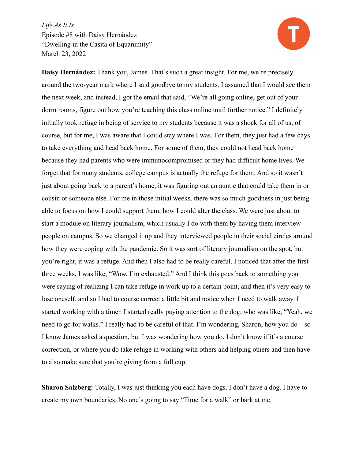

**Daisy Hernández:** Thank you, James. That's such a great insight. For me, we're precisely around the two-year mark where I said goodbye to my students. I assumed that I would see them the next week, and instead, I got the email that said, "We're all going online, get out of your dorm rooms, figure out how you're teaching this class online until further notice." I definitely initially took refuge in being of service to my students because it was a shock for all of us, of course, but for me, I was aware that I could stay where I was. For them, they just had a few days to take everything and head back home. For some of them, they could not head back home because they had parents who were immunocompromised or they had difficult home lives. We forget that for many students, college campus is actually the refuge for them. And so it wasn't just about going back to a parent's home, it was figuring out an auntie that could take them in or cousin or someone else. For me in those initial weeks, there was so much goodness in just being able to focus on how I could support them, how I could alter the class. We were just about to start a module on literary journalism, which usually I do with them by having them interview people on campus. So we changed it up and they interviewed people in their social circles around how they were coping with the pandemic. So it was sort of literary journalism on the spot, but you're right, it was a refuge. And then I also had to be really careful. I noticed that after the first three weeks, I was like, "Wow, I'm exhausted." And I think this goes back to something you were saying of realizing I can take refuge in work up to a certain point, and then it's very easy to lose oneself, and so I had to course correct a little bit and notice when I need to walk away. I started working with a timer. I started really paying attention to the dog, who was like, "Yeah, we need to go for walks." I really had to be careful of that. I'm wondering, Sharon, how you do—so I know James asked a question, but I was wondering how you do, I don't know if it's a course correction, or where you do take refuge in working with others and helping others and then have to also make sure that you're giving from a full cup.

**Sharon Salzberg:** Totally, I was just thinking you each have dogs. I don't have a dog. I have to create my own boundaries. No one's going to say "Time for a walk" or bark at me.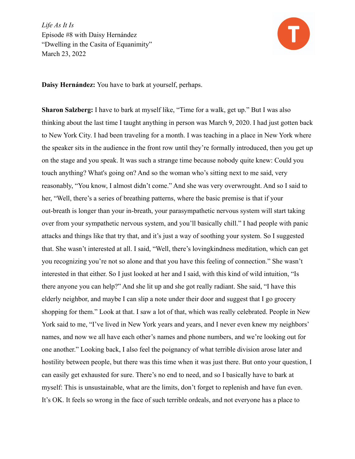

**Daisy Hernández:** You have to bark at yourself, perhaps.

**Sharon Salzberg:** I have to bark at myself like, "Time for a walk, get up." But I was also thinking about the last time I taught anything in person was March 9, 2020. I had just gotten back to New York City. I had been traveling for a month. I was teaching in a place in New York where the speaker sits in the audience in the front row until they're formally introduced, then you get up on the stage and you speak. It was such a strange time because nobody quite knew: Could you touch anything? What's going on? And so the woman who's sitting next to me said, very reasonably, "You know, I almost didn't come." And she was very overwrought. And so I said to her, "Well, there's a series of breathing patterns, where the basic premise is that if your out-breath is longer than your in-breath, your parasympathetic nervous system will start taking over from your sympathetic nervous system, and you'll basically chill." I had people with panic attacks and things like that try that, and it's just a way of soothing your system. So I suggested that. She wasn't interested at all. I said, "Well, there's lovingkindness meditation, which can get you recognizing you're not so alone and that you have this feeling of connection." She wasn't interested in that either. So I just looked at her and I said, with this kind of wild intuition, "Is there anyone you can help?" And she lit up and she got really radiant. She said, "I have this elderly neighbor, and maybe I can slip a note under their door and suggest that I go grocery shopping for them." Look at that. I saw a lot of that, which was really celebrated. People in New York said to me, "I've lived in New York years and years, and I never even knew my neighbors' names, and now we all have each other's names and phone numbers, and we're looking out for one another." Looking back, I also feel the poignancy of what terrible division arose later and hostility between people, but there was this time when it was just there. But onto your question, I can easily get exhausted for sure. There's no end to need, and so I basically have to bark at myself: This is unsustainable, what are the limits, don't forget to replenish and have fun even. It's OK. It feels so wrong in the face of such terrible ordeals, and not everyone has a place to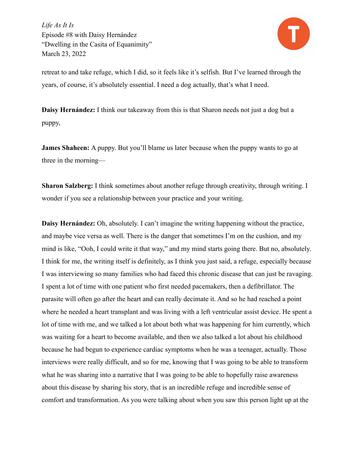

retreat to and take refuge, which I did, so it feels like it's selfish. But I've learned through the years, of course, it's absolutely essential. I need a dog actually, that's what I need.

**Daisy Hernández:** I think our takeaway from this is that Sharon needs not just a dog but a puppy,

**James Shaheen:** A puppy. But you'll blame us later because when the puppy wants to go at three in the morning—

**Sharon Salzberg:** I think sometimes about another refuge through creativity, through writing. I wonder if you see a relationship between your practice and your writing.

**Daisy Hernández:** Oh, absolutely. I can't imagine the writing happening without the practice, and maybe vice versa as well. There is the danger that sometimes I'm on the cushion, and my mind is like, "Ooh, I could write it that way," and my mind starts going there. But no, absolutely. I think for me, the writing itself is definitely, as I think you just said, a refuge, especially because I was interviewing so many families who had faced this chronic disease that can just be ravaging. I spent a lot of time with one patient who first needed pacemakers, then a defibrillator. The parasite will often go after the heart and can really decimate it. And so he had reached a point where he needed a heart transplant and was living with a left ventricular assist device. He spent a lot of time with me, and we talked a lot about both what was happening for him currently, which was waiting for a heart to become available, and then we also talked a lot about his childhood because he had begun to experience cardiac symptoms when he was a teenager, actually. Those interviews were really difficult, and so for me, knowing that I was going to be able to transform what he was sharing into a narrative that I was going to be able to hopefully raise awareness about this disease by sharing his story, that is an incredible refuge and incredible sense of comfort and transformation. As you were talking about when you saw this person light up at the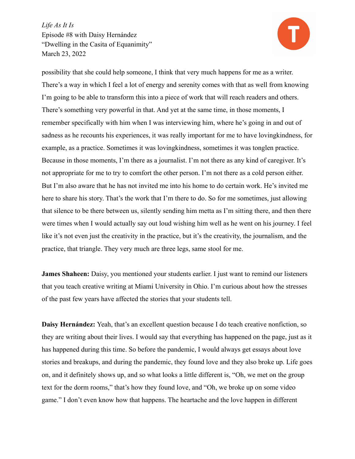

possibility that she could help someone, I think that very much happens for me as a writer. There's a way in which I feel a lot of energy and serenity comes with that as well from knowing I'm going to be able to transform this into a piece of work that will reach readers and others. There's something very powerful in that. And yet at the same time, in those moments, I remember specifically with him when I was interviewing him, where he's going in and out of sadness as he recounts his experiences, it was really important for me to have lovingkindness, for example, as a practice. Sometimes it was lovingkindness, sometimes it was tonglen practice. Because in those moments, I'm there as a journalist. I'm not there as any kind of caregiver. It's not appropriate for me to try to comfort the other person. I'm not there as a cold person either. But I'm also aware that he has not invited me into his home to do certain work. He's invited me here to share his story. That's the work that I'm there to do. So for me sometimes, just allowing that silence to be there between us, silently sending him metta as I'm sitting there, and then there were times when I would actually say out loud wishing him well as he went on his journey. I feel like it's not even just the creativity in the practice, but it's the creativity, the journalism, and the practice, that triangle. They very much are three legs, same stool for me.

**James Shaheen:** Daisy, you mentioned your students earlier. I just want to remind our listeners that you teach creative writing at Miami University in Ohio. I'm curious about how the stresses of the past few years have affected the stories that your students tell.

**Daisy Hernández:** Yeah, that's an excellent question because I do teach creative nonfiction, so they are writing about their lives. I would say that everything has happened on the page, just as it has happened during this time. So before the pandemic, I would always get essays about love stories and breakups, and during the pandemic, they found love and they also broke up. Life goes on, and it definitely shows up, and so what looks a little different is, "Oh, we met on the group text for the dorm rooms," that's how they found love, and "Oh, we broke up on some video game." I don't even know how that happens. The heartache and the love happen in different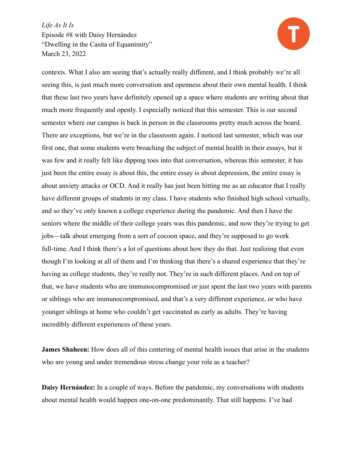

contexts. What I also am seeing that's actually really different, and I think probably we're all seeing this, is just much more conversation and openness about their own mental health. I think that these last two years have definitely opened up a space where students are writing about that much more frequently and openly. I especially noticed that this semester. This is our second semester where our campus is back in person in the classrooms pretty much across the board. There are exceptions, but we're in the classroom again. I noticed last semester, which was our first one, that some students were broaching the subject of mental health in their essays, but it was few and it really felt like dipping toes into that conversation, whereas this semester, it has just been the entire essay is about this, the entire essay is about depression, the entire essay is about anxiety attacks or OCD. And it really has just been hitting me as an educator that I really have different groups of students in my class. I have students who finished high school virtually, and so they've only known a college experience during the pandemic. And then I have the seniors where the middle of their college years was this pandemic, and now they're trying to get jobs—talk about emerging from a sort of cocoon space, and they're supposed to go work full-time. And I think there's a lot of questions about how they do that. Just realizing that even though I'm looking at all of them and I'm thinking that there's a shared experience that they're having as college students, they're really not. They're in such different places. And on top of that, we have students who are immunocompromised or just spent the last two years with parents or siblings who are immunocompromised, and that's a very different experience, or who have younger siblings at home who couldn't get vaccinated as early as adults. They're having incredibly different experiences of these years.

**James Shaheen:** How does all of this centering of mental health issues that arise in the students who are young and under tremendous stress change your role as a teacher?

**Daisy Hernández:** In a couple of ways. Before the pandemic, my conversations with students about mental health would happen one-on-one predominantly. That still happens. I've had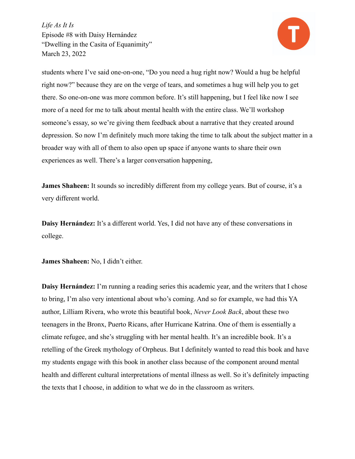

students where I've said one-on-one, "Do you need a hug right now? Would a hug be helpful right now?" because they are on the verge of tears, and sometimes a hug will help you to get there. So one-on-one was more common before. It's still happening, but I feel like now I see more of a need for me to talk about mental health with the entire class. We'll workshop someone's essay, so we're giving them feedback about a narrative that they created around depression. So now I'm definitely much more taking the time to talk about the subject matter in a broader way with all of them to also open up space if anyone wants to share their own experiences as well. There's a larger conversation happening,

**James Shaheen:** It sounds so incredibly different from my college years. But of course, it's a very different world.

**Daisy Hernández:** It's a different world. Yes, I did not have any of these conversations in college.

**James Shaheen:** No, I didn't either.

**Daisy Hernández:** I'm running a reading series this academic year, and the writers that I chose to bring, I'm also very intentional about who's coming. And so for example, we had this YA author, Lilliam Rivera, who wrote this beautiful book, *Never Look Back*, about these two teenagers in the Bronx, Puerto Ricans, after Hurricane Katrina. One of them is essentially a climate refugee, and she's struggling with her mental health. It's an incredible book. It's a retelling of the Greek mythology of Orpheus. But I definitely wanted to read this book and have my students engage with this book in another class because of the component around mental health and different cultural interpretations of mental illness as well. So it's definitely impacting the texts that I choose, in addition to what we do in the classroom as writers.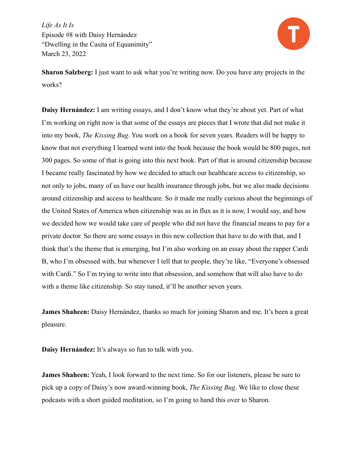

**Sharon Salzberg:** I just want to ask what you're writing now. Do you have any projects in the works?

**Daisy Hernández:** I am writing essays, and I don't know what they're about yet. Part of what I'm working on right now is that some of the essays are pieces that I wrote that did not make it into my book, *The Kissing Bug*. You work on a book for seven years. Readers will be happy to know that not everything I learned went into the book because the book would be 800 pages, not 300 pages. So some of that is going into this next book. Part of that is around citizenship because I became really fascinated by how we decided to attach our healthcare access to citizenship, so not only to jobs, many of us have our health insurance through jobs, but we also made decisions around citizenship and access to healthcare. So it made me really curious about the beginnings of the United States of America when citizenship was as in flux as it is now, I would say, and how we decided how we would take care of people who did not have the financial means to pay for a private doctor. So there are some essays in this new collection that have to do with that, and I think that's the theme that is emerging, but I'm also working on an essay about the rapper Cardi B, who I'm obsessed with, but whenever I tell that to people, they're like, "Everyone's obsessed with Cardi." So I'm trying to write into that obsession, and somehow that will also have to do with a theme like citizenship. So stay tuned, it'll be another seven years.

**James Shaheen:** Daisy Hernández, thanks so much for joining Sharon and me. It's been a great pleasure.

**Daisy Hernández:** It's always so fun to talk with you.

**James Shaheen:** Yeah, I look forward to the next time. So for our listeners, please be sure to pick up a copy of Daisy's now award-winning book, *The Kissing Bug*. We like to close these podcasts with a short guided meditation, so I'm going to hand this over to Sharon.